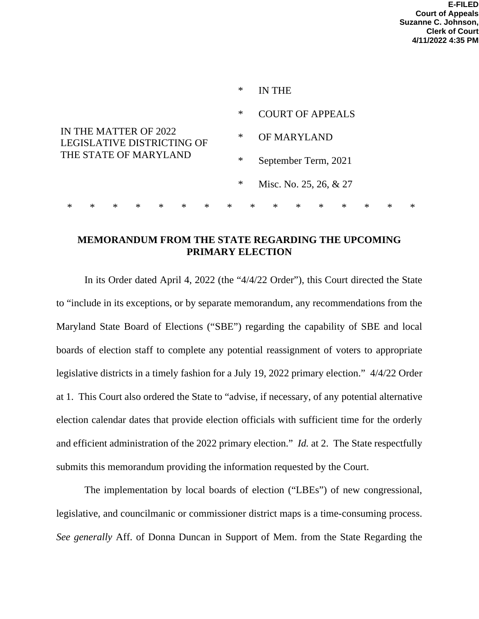|                                                                                     |   |        |        |        |        |        | $\ast$ |                        | IN THE                  |        |        |        |        |        |        |  |
|-------------------------------------------------------------------------------------|---|--------|--------|--------|--------|--------|--------|------------------------|-------------------------|--------|--------|--------|--------|--------|--------|--|
|                                                                                     |   |        |        |        |        |        | $\ast$ |                        | <b>COURT OF APPEALS</b> |        |        |        |        |        |        |  |
| IN THE MATTER OF 2022<br><b>LEGISLATIVE DISTRICTING OF</b><br>THE STATE OF MARYLAND |   |        |        |        |        |        | $\ast$ |                        | OF MARYLAND             |        |        |        |        |        |        |  |
|                                                                                     |   |        |        |        |        |        | $\ast$ | September Term, 2021   |                         |        |        |        |        |        |        |  |
|                                                                                     |   |        |        |        |        | $\ast$ |        | Misc. No. 25, 26, & 27 |                         |        |        |        |        |        |        |  |
| $\ast$                                                                              | * | $\ast$ | $\ast$ | $\ast$ | $\ast$ | $\ast$ | $\ast$ | $\ast$                 | $\ast$                  | $\ast$ | $\ast$ | $\ast$ | $\ast$ | $\ast$ | $\ast$ |  |

## **MEMORANDUM FROM THE STATE REGARDING THE UPCOMING PRIMARY ELECTION**

In its Order dated April 4, 2022 (the "4/4/22 Order"), this Court directed the State to "include in its exceptions, or by separate memorandum, any recommendations from the Maryland State Board of Elections ("SBE") regarding the capability of SBE and local boards of election staff to complete any potential reassignment of voters to appropriate legislative districts in a timely fashion for a July 19, 2022 primary election." 4/4/22 Order at 1. This Court also ordered the State to "advise, if necessary, of any potential alternative election calendar dates that provide election officials with sufficient time for the orderly and efficient administration of the 2022 primary election." *Id.* at 2. The State respectfully submits this memorandum providing the information requested by the Court.

The implementation by local boards of election ("LBEs") of new congressional, legislative, and councilmanic or commissioner district maps is a time-consuming process. *See generally* Aff. of Donna Duncan in Support of Mem. from the State Regarding the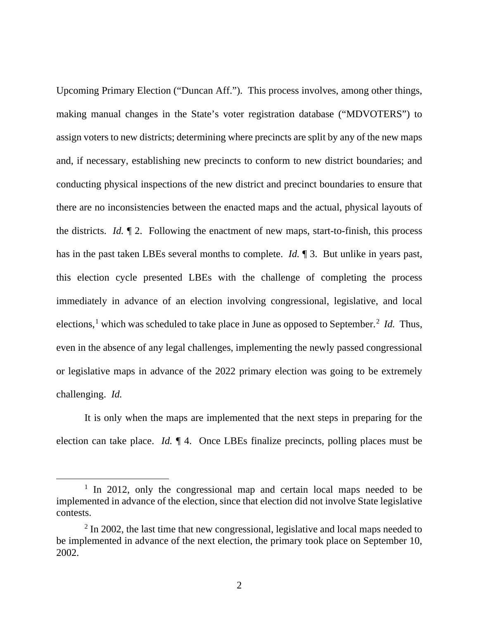Upcoming Primary Election ("Duncan Aff."). This process involves, among other things, making manual changes in the State's voter registration database ("MDVOTERS") to assign voters to new districts; determining where precincts are split by any of the new maps and, if necessary, establishing new precincts to conform to new district boundaries; and conducting physical inspections of the new district and precinct boundaries to ensure that there are no inconsistencies between the enacted maps and the actual, physical layouts of the districts. *Id.* ¶ 2. Following the enactment of new maps, start-to-finish, this process has in the past taken LBEs several months to complete. *Id.* ¶ 3. But unlike in years past, this election cycle presented LBEs with the challenge of completing the process immediately in advance of an election involving congressional, legislative, and local elections,<sup>[1](#page-1-0)</sup> which was scheduled to take place in June as opposed to September.<sup>[2](#page-1-1)</sup> *Id*. Thus, even in the absence of any legal challenges, implementing the newly passed congressional or legislative maps in advance of the 2022 primary election was going to be extremely challenging. *Id.*

It is only when the maps are implemented that the next steps in preparing for the election can take place. *Id.* ¶ 4. Once LBEs finalize precincts, polling places must be

<span id="page-1-0"></span><sup>&</sup>lt;sup>1</sup> In 2012, only the congressional map and certain local maps needed to be implemented in advance of the election, since that election did not involve State legislative contests.

<span id="page-1-1"></span> $2 \text{ In } 2002$ , the last time that new congressional, legislative and local maps needed to be implemented in advance of the next election, the primary took place on September 10, 2002.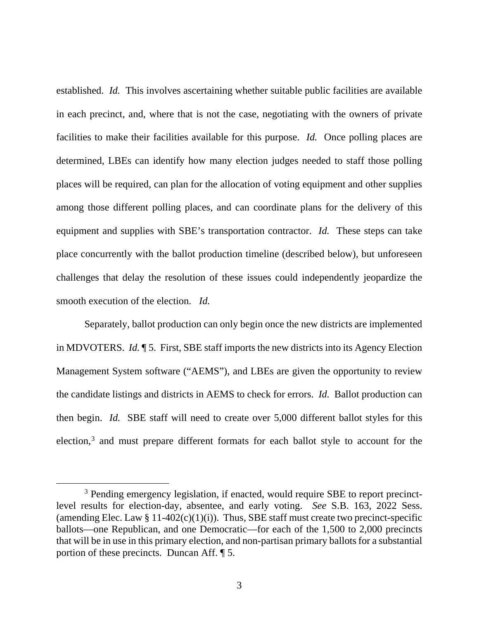established. *Id.* This involves ascertaining whether suitable public facilities are available in each precinct, and, where that is not the case, negotiating with the owners of private facilities to make their facilities available for this purpose. *Id.* Once polling places are determined, LBEs can identify how many election judges needed to staff those polling places will be required, can plan for the allocation of voting equipment and other supplies among those different polling places, and can coordinate plans for the delivery of this equipment and supplies with SBE's transportation contractor. *Id.* These steps can take place concurrently with the ballot production timeline (described below), but unforeseen challenges that delay the resolution of these issues could independently jeopardize the smooth execution of the election. *Id.*

Separately, ballot production can only begin once the new districts are implemented in MDVOTERS. *Id.* ¶ 5. First, SBE staff imports the new districts into its Agency Election Management System software ("AEMS"), and LBEs are given the opportunity to review the candidate listings and districts in AEMS to check for errors. *Id.* Ballot production can then begin. *Id.* SBE staff will need to create over 5,000 different ballot styles for this election,<sup>[3](#page-2-0)</sup> and must prepare different formats for each ballot style to account for the

<span id="page-2-0"></span><sup>&</sup>lt;sup>3</sup> Pending emergency legislation, if enacted, would require SBE to report precinctlevel results for election-day, absentee, and early voting. *See* S.B. 163, 2022 Sess. (amending Elec. Law § 11-402(c)(1)(i)). Thus, SBE staff must create two precinct-specific ballots—one Republican, and one Democratic—for each of the 1,500 to 2,000 precincts that will be in use in this primary election, and non-partisan primary ballots for a substantial portion of these precincts. Duncan Aff. ¶ 5.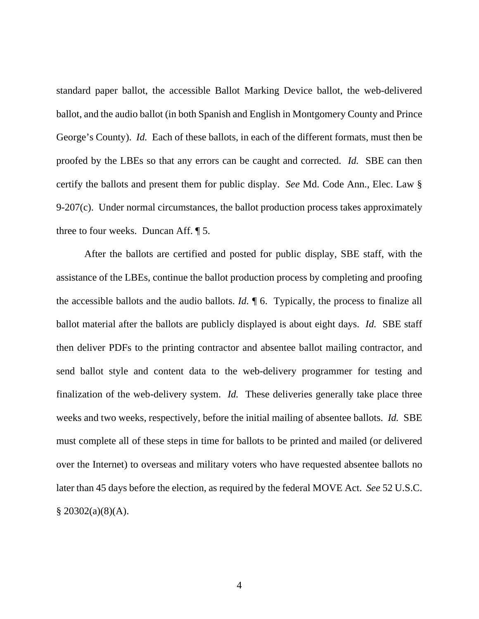standard paper ballot, the accessible Ballot Marking Device ballot, the web-delivered ballot, and the audio ballot (in both Spanish and English in Montgomery County and Prince George's County). *Id.* Each of these ballots, in each of the different formats, must then be proofed by the LBEs so that any errors can be caught and corrected. *Id.* SBE can then certify the ballots and present them for public display. *See* Md. Code Ann., Elec. Law §  $9-207(c)$ . Under normal circumstances, the ballot production process takes approximately three to four weeks. Duncan Aff. ¶ 5.

After the ballots are certified and posted for public display, SBE staff, with the assistance of the LBEs, continue the ballot production process by completing and proofing the accessible ballots and the audio ballots. *Id.* ¶ 6. Typically, the process to finalize all ballot material after the ballots are publicly displayed is about eight days. *Id.* SBE staff then deliver PDFs to the printing contractor and absentee ballot mailing contractor, and send ballot style and content data to the web-delivery programmer for testing and finalization of the web-delivery system. *Id.* These deliveries generally take place three weeks and two weeks, respectively, before the initial mailing of absentee ballots. *Id.* SBE must complete all of these steps in time for ballots to be printed and mailed (or delivered over the Internet) to overseas and military voters who have requested absentee ballots no later than 45 days before the election, as required by the federal MOVE Act. *See* 52 U.S.C.  $§$  20302(a)(8)(A).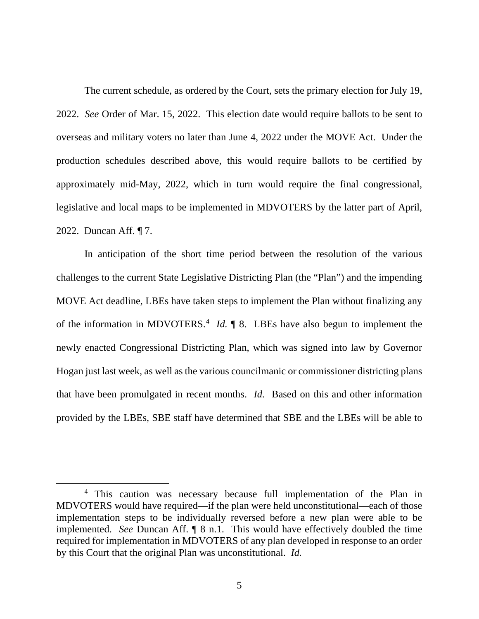The current schedule, as ordered by the Court, sets the primary election for July 19, 2022. *See* Order of Mar. 15, 2022. This election date would require ballots to be sent to overseas and military voters no later than June 4, 2022 under the MOVE Act. Under the production schedules described above, this would require ballots to be certified by approximately mid-May, 2022, which in turn would require the final congressional, legislative and local maps to be implemented in MDVOTERS by the latter part of April, 2022. Duncan Aff. ¶ 7.

In anticipation of the short time period between the resolution of the various challenges to the current State Legislative Districting Plan (the "Plan") and the impending MOVE Act deadline, LBEs have taken steps to implement the Plan without finalizing any of the information in MDVOTERS.<sup>[4](#page-4-0)</sup> *Id.*  $\parallel$  8. LBEs have also begun to implement the newly enacted Congressional Districting Plan, which was signed into law by Governor Hogan just last week, as well as the various councilmanic or commissioner districting plans that have been promulgated in recent months. *Id.* Based on this and other information provided by the LBEs, SBE staff have determined that SBE and the LBEs will be able to

<span id="page-4-0"></span><sup>&</sup>lt;sup>4</sup> This caution was necessary because full implementation of the Plan in MDVOTERS would have required—if the plan were held unconstitutional—each of those implementation steps to be individually reversed before a new plan were able to be implemented. *See* Duncan Aff. ¶ 8 n.1. This would have effectively doubled the time required for implementation in MDVOTERS of any plan developed in response to an order by this Court that the original Plan was unconstitutional. *Id.*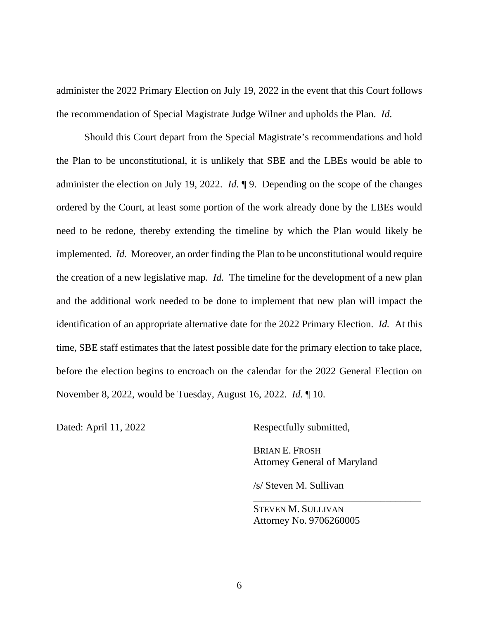administer the 2022 Primary Election on July 19, 2022 in the event that this Court follows the recommendation of Special Magistrate Judge Wilner and upholds the Plan. *Id.*

Should this Court depart from the Special Magistrate's recommendations and hold the Plan to be unconstitutional, it is unlikely that SBE and the LBEs would be able to administer the election on July 19, 2022. *Id.* ¶ 9. Depending on the scope of the changes ordered by the Court, at least some portion of the work already done by the LBEs would need to be redone, thereby extending the timeline by which the Plan would likely be implemented. *Id.* Moreover, an order finding the Plan to be unconstitutional would require the creation of a new legislative map. *Id.* The timeline for the development of a new plan and the additional work needed to be done to implement that new plan will impact the identification of an appropriate alternative date for the 2022 Primary Election. *Id.* At this time, SBE staff estimates that the latest possible date for the primary election to take place, before the election begins to encroach on the calendar for the 2022 General Election on November 8, 2022, would be Tuesday, August 16, 2022. *Id.* ¶ 10.

Dated: April 11, 2022 Respectfully submitted,

BRIAN E. FROSH Attorney General of Maryland

\_\_\_\_\_\_\_\_\_\_\_\_\_\_\_\_\_\_\_\_\_\_\_\_\_\_\_\_\_\_\_\_\_

/s/ Steven M. Sullivan

STEVEN M. SULLIVAN Attorney No. 9706260005